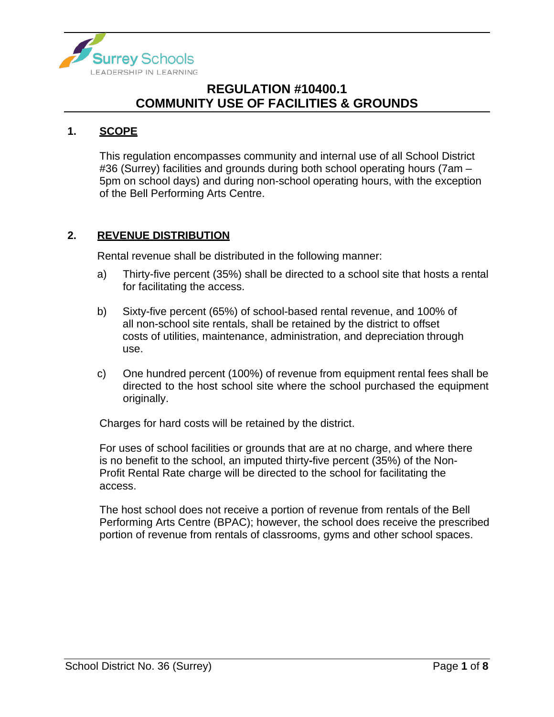

#### **1. SCOPE**

This regulation encompasses community and internal use of all School District #36 (Surrey) facilities and grounds during both school operating hours (7am – 5pm on school days) and during non-school operating hours, with the exception of the Bell Performing Arts Centre.

#### **2. REVENUE DISTRIBUTION**

Rental revenue shall be distributed in the following manner:

- a) Thirty-five percent (35%) shall be directed to a school site that hosts a rental for facilitating the access.
- b) Sixty-five percent (65%) of school-based rental revenue, and 100% of all non-school site rentals, shall be retained by the district to offset costs of utilities, maintenance, administration, and depreciation through use.
- c) One hundred percent (100%) of revenue from equipment rental fees shall be directed to the host school site where the school purchased the equipment originally.

Charges for hard costs will be retained by the district.

For uses of school facilities or grounds that are at no charge, and where there is no benefit to the school, an imputed thirty**-**five percent (35%) of the Non-Profit Rental Rate charge will be directed to the school for facilitating the access.

The host school does not receive a portion of revenue from rentals of the Bell Performing Arts Centre (BPAC); however, the school does receive the prescribed portion of revenue from rentals of classrooms, gyms and other school spaces.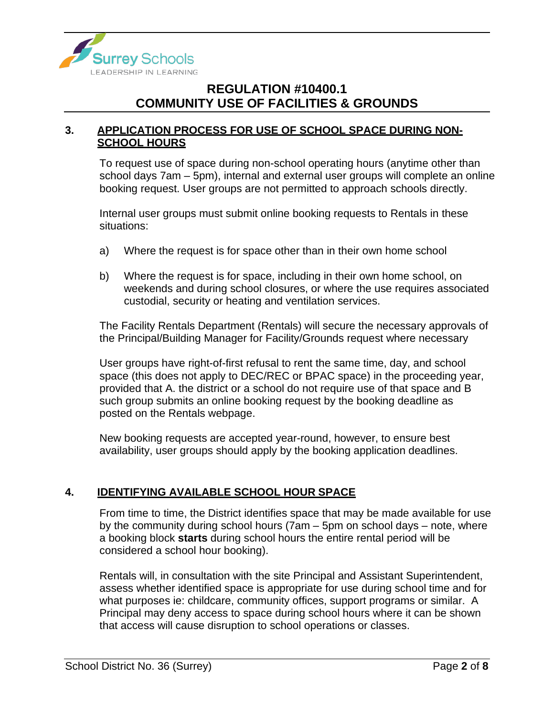

#### **3. APPLICATION PROCESS FOR USE OF SCHOOL SPACE DURING NON-SCHOOL HOURS**

To request use of space during non-school operating hours (anytime other than school days 7am – 5pm), internal and external user groups will complete an online booking request. User groups are not permitted to approach schools directly.

Internal user groups must submit online booking requests to Rentals in these situations:

- a) Where the request is for space other than in their own home school
- b) Where the request is for space, including in their own home school, on weekends and during school closures, or where the use requires associated custodial, security or heating and ventilation services.

The Facility Rentals Department (Rentals) will secure the necessary approvals of the Principal/Building Manager for Facility/Grounds request where necessary

User groups have right-of-first refusal to rent the same time, day, and school space (this does not apply to DEC/REC or BPAC space) in the proceeding year, provided that A. the district or a school do not require use of that space and B such group submits an online booking request by the booking deadline as posted on the Rentals webpage.

New booking requests are accepted year-round, however, to ensure best availability, user groups should apply by the booking application deadlines.

#### **4. IDENTIFYING AVAILABLE SCHOOL HOUR SPACE**

From time to time, the District identifies space that may be made available for use by the community during school hours (7am – 5pm on school days – note, where a booking block **starts** during school hours the entire rental period will be considered a school hour booking).

Rentals will, in consultation with the site Principal and Assistant Superintendent, assess whether identified space is appropriate for use during school time and for what purposes ie: childcare, community offices, support programs or similar. A Principal may deny access to space during school hours where it can be shown that access will cause disruption to school operations or classes.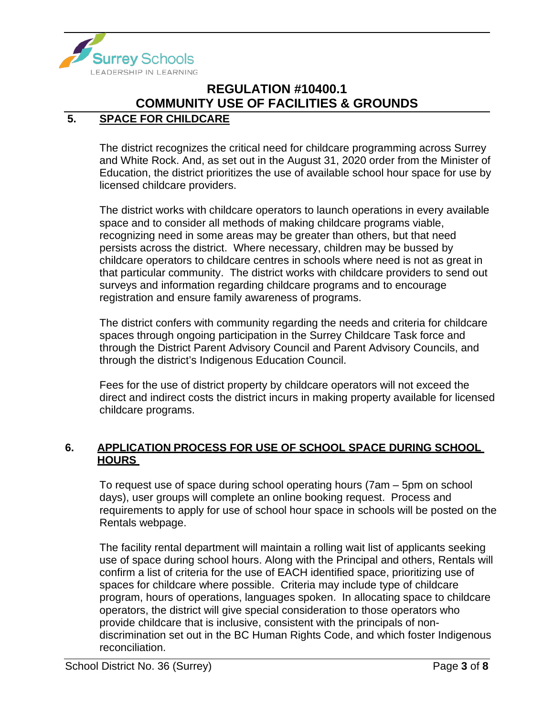

### **5. SPACE FOR CHILDCARE**

The district recognizes the critical need for childcare programming across Surrey and White Rock. And, as set out in the August 31, 2020 order from the Minister of Education, the district prioritizes the use of available school hour space for use by licensed childcare providers.

The district works with childcare operators to launch operations in every available space and to consider all methods of making childcare programs viable, recognizing need in some areas may be greater than others, but that need persists across the district. Where necessary, children may be bussed by childcare operators to childcare centres in schools where need is not as great in that particular community. The district works with childcare providers to send out surveys and information regarding childcare programs and to encourage registration and ensure family awareness of programs.

The district confers with community regarding the needs and criteria for childcare spaces through ongoing participation in the Surrey Childcare Task force and through the District Parent Advisory Council and Parent Advisory Councils, and through the district's Indigenous Education Council.

Fees for the use of district property by childcare operators will not exceed the direct and indirect costs the district incurs in making property available for licensed childcare programs.

#### **6. APPLICATION PROCESS FOR USE OF SCHOOL SPACE DURING SCHOOL HOURS**

To request use of space during school operating hours (7am – 5pm on school days), user groups will complete an online booking request. Process and requirements to apply for use of school hour space in schools will be posted on the Rentals webpage.

The facility rental department will maintain a rolling wait list of applicants seeking use of space during school hours. Along with the Principal and others, Rentals will confirm a list of criteria for the use of EACH identified space, prioritizing use of spaces for childcare where possible. Criteria may include type of childcare program, hours of operations, languages spoken. In allocating space to childcare operators, the district will give special consideration to those operators who provide childcare that is inclusive, consistent with the principals of nondiscrimination set out in the BC Human Rights Code, and which foster Indigenous reconciliation.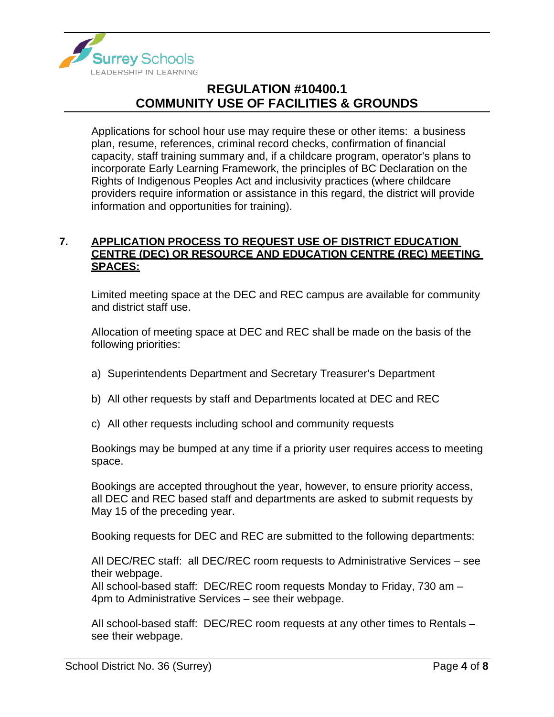

Applications for school hour use may require these or other items: a business plan, resume, references, criminal record checks, confirmation of financial capacity, staff training summary and, if a childcare program, operator's plans to incorporate Early Learning Framework, the principles of BC Declaration on the Rights of Indigenous Peoples Act and inclusivity practices (where childcare providers require information or assistance in this regard, the district will provide information and opportunities for training).

#### **7. APPLICATION PROCESS TO REQUEST USE OF DISTRICT EDUCATION CENTRE (DEC) OR RESOURCE AND EDUCATION CENTRE (REC) MEETING SPACES:**

Limited meeting space at the DEC and REC campus are available for community and district staff use.

Allocation of meeting space at DEC and REC shall be made on the basis of the following priorities:

- a) Superintendents Department and Secretary Treasurer's Department
- b) All other requests by staff and Departments located at DEC and REC
- c) All other requests including school and community requests

Bookings may be bumped at any time if a priority user requires access to meeting space.

Bookings are accepted throughout the year, however, to ensure priority access, all DEC and REC based staff and departments are asked to submit requests by May 15 of the preceding year.

Booking requests for DEC and REC are submitted to the following departments:

All DEC/REC staff: all DEC/REC room requests to Administrative Services – see their webpage.

All school-based staff: DEC/REC room requests Monday to Friday, 730 am – 4pm to Administrative Services – see their webpage.

All school-based staff: DEC/REC room requests at any other times to Rentals – see their webpage.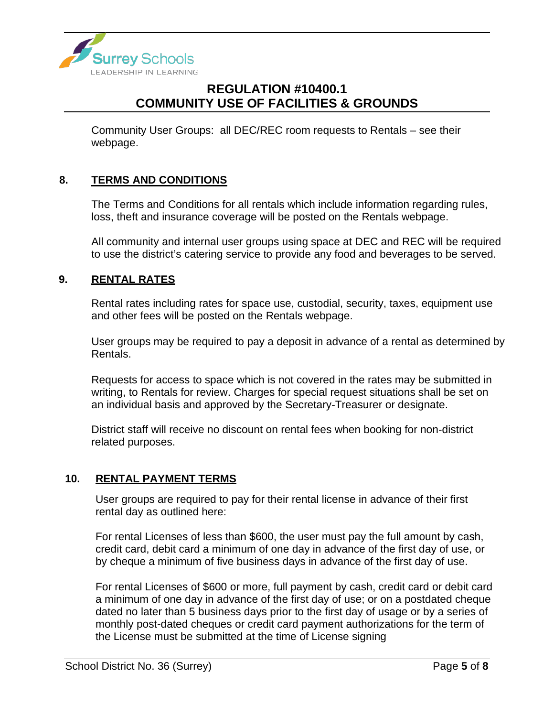

Community User Groups: all DEC/REC room requests to Rentals – see their webpage.

#### **8. TERMS AND CONDITIONS**

The Terms and Conditions for all rentals which include information regarding rules, loss, theft and insurance coverage will be posted on the Rentals webpage.

All community and internal user groups using space at DEC and REC will be required to use the district's catering service to provide any food and beverages to be served.

#### **9. RENTAL RATES**

Rental rates including rates for space use, custodial, security, taxes, equipment use and other fees will be posted on the Rentals webpage.

User groups may be required to pay a deposit in advance of a rental as determined by Rentals.

Requests for access to space which is not covered in the rates may be submitted in writing, to Rentals for review. Charges for special request situations shall be set on an individual basis and approved by the Secretary-Treasurer or designate.

District staff will receive no discount on rental fees when booking for non-district related purposes.

#### **10. RENTAL PAYMENT TERMS**

User groups are required to pay for their rental license in advance of their first rental day as outlined here:

For rental Licenses of less than \$600, the user must pay the full amount by cash, credit card, debit card a minimum of one day in advance of the first day of use, or by cheque a minimum of five business days in advance of the first day of use.

For rental Licenses of \$600 or more, full payment by cash, credit card or debit card a minimum of one day in advance of the first day of use; or on a postdated cheque dated no later than 5 business days prior to the first day of usage or by a series of monthly post-dated cheques or credit card payment authorizations for the term of the License must be submitted at the time of License signing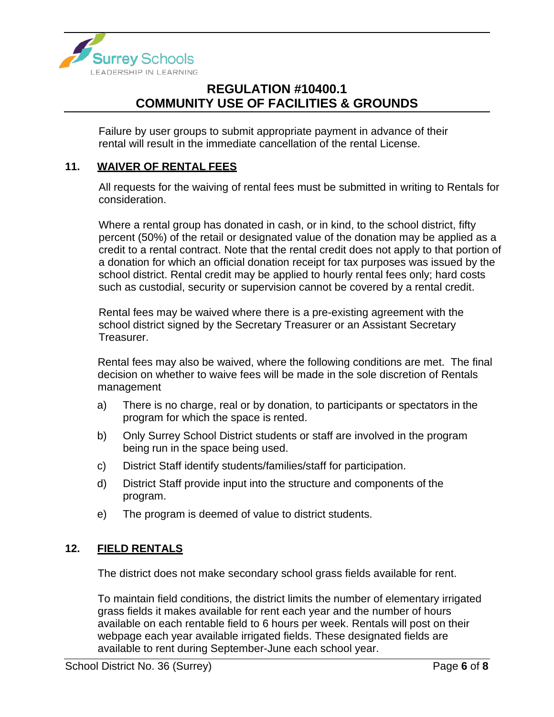

Failure by user groups to submit appropriate payment in advance of their rental will result in the immediate cancellation of the rental License.

#### **11. WAIVER OF RENTAL FEES**

All requests for the waiving of rental fees must be submitted in writing to Rentals for consideration.

Where a rental group has donated in cash, or in kind, to the school district, fifty percent (50%) of the retail or designated value of the donation may be applied as a credit to a rental contract. Note that the rental credit does not apply to that portion of a donation for which an official donation receipt for tax purposes was issued by the school district. Rental credit may be applied to hourly rental fees only; hard costs such as custodial, security or supervision cannot be covered by a rental credit.

Rental fees may be waived where there is a pre-existing agreement with the school district signed by the Secretary Treasurer or an Assistant Secretary Treasurer.

Rental fees may also be waived, where the following conditions are met. The final decision on whether to waive fees will be made in the sole discretion of Rentals management

- a) There is no charge, real or by donation, to participants or spectators in the program for which the space is rented.
- b) Only Surrey School District students or staff are involved in the program being run in the space being used.
- c) District Staff identify students/families/staff for participation.
- d) District Staff provide input into the structure and components of the program.
- e) The program is deemed of value to district students.

#### **12. FIELD RENTALS**

The district does not make secondary school grass fields available for rent.

To maintain field conditions, the district limits the number of elementary irrigated grass fields it makes available for rent each year and the number of hours available on each rentable field to 6 hours per week. Rentals will post on their webpage each year available irrigated fields. These designated fields are available to rent during September-June each school year.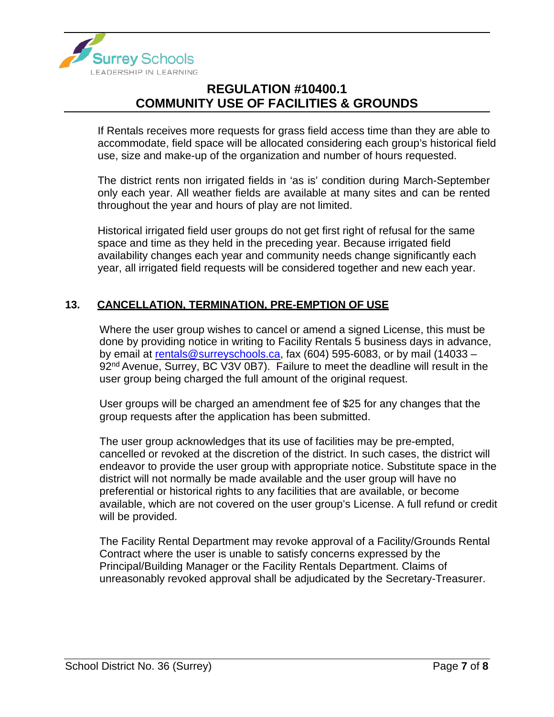

If Rentals receives more requests for grass field access time than they are able to accommodate, field space will be allocated considering each group's historical field use, size and make-up of the organization and number of hours requested.

The district rents non irrigated fields in 'as is' condition during March-September only each year. All weather fields are available at many sites and can be rented throughout the year and hours of play are not limited.

Historical irrigated field user groups do not get first right of refusal for the same space and time as they held in the preceding year. Because irrigated field availability changes each year and community needs change significantly each year, all irrigated field requests will be considered together and new each year.

#### **13. CANCELLATION, TERMINATION, PRE-EMPTION OF USE**

Where the user group wishes to cancel or amend a signed License, this must be done by providing notice in writing to Facility Rentals 5 business days in advance, by email at [rentals@surreyschools.ca,](mailto:rentals@surreyschools.ca) fax (604) 595-6083, or by mail (14033 – 92<sup>nd</sup> Avenue, Surrey, BC V3V 0B7). Failure to meet the deadline will result in the user group being charged the full amount of the original request.

User groups will be charged an amendment fee of \$25 for any changes that the group requests after the application has been submitted.

The user group acknowledges that its use of facilities may be pre-empted, cancelled or revoked at the discretion of the district. In such cases, the district will endeavor to provide the user group with appropriate notice. Substitute space in the district will not normally be made available and the user group will have no preferential or historical rights to any facilities that are available, or become available, which are not covered on the user group's License. A full refund or credit will be provided.

The Facility Rental Department may revoke approval of a Facility/Grounds Rental Contract where the user is unable to satisfy concerns expressed by the Principal/Building Manager or the Facility Rentals Department. Claims of unreasonably revoked approval shall be adjudicated by the Secretary-Treasurer.